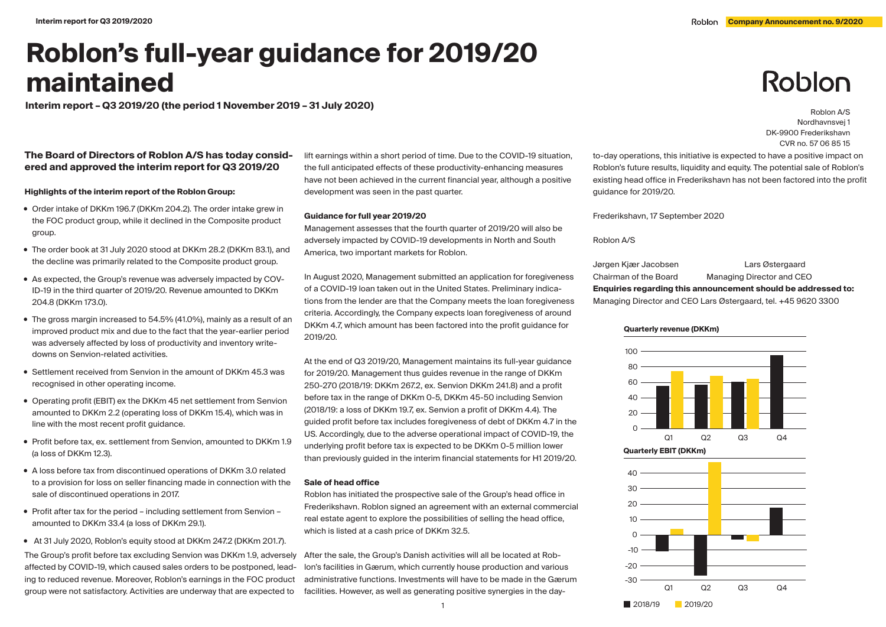Nordhavnsvej 1 DK-9900 Frederikshavn CVR no. 57 06 85 15

Roblon

# **Roblon's full-year guidance for 2019/20 maintained**

**Interim report – Q3 2019/20 (the period 1 November 2019 – 31 July 2020)** Roblo**n A/S** 

# **The Board of Directors of Roblon A/S has today considered and approved the interim report for Q3 2019/20**

**Highlights of the interim report of the Roblon Group:**

- Order intake of DKKm 196.7 (DKKm 204.2). The order intake grew in the FOC product group, while it declined in the Composite product group.
- The order book at 31 July 2020 stood at DKKm 28.2 (DKKm 83.1), and the decline was primarily related to the Composite product group.
- As expected, the Group's revenue was adversely impacted by COV-ID-19 in the third quarter of 2019/20. Revenue amounted to DKKm 204.8 (DKKm 173.0).
- The gross margin increased to 54.5% (41.0%), mainly as a result of an improved product mix and due to the fact that the year-earlier period was adversely affected by loss of productivity and inventory writedowns on Senvion-related activities.
- Settlement received from Senvion in the amount of DKKm 45.3 was recognised in other operating income.
- Operating profit (EBIT) ex the DKKm 45 net settlement from Senvion amounted to DKKm 2.2 (operating loss of DKKm 15.4), which was in line with the most recent profit guidance.
- Profit before tax, ex. settlement from Senvion, amounted to DKKm 1.9 (a loss of DKKm 12.3).
- A loss before tax from discontinued operations of DKKm 3.0 related to a provision for loss on seller financing made in connection with the sale of discontinued operations in 2017.
- Profit after tax for the period including settlement from Senvion amounted to DKKm 33.4 (a loss of DKKm 29.1).
- At 31 July 2020, Roblon's equity stood at DKKm 247.2 (DKKm 201.7).

The Group's profit before tax excluding Senvion was DKKm 1.9, adversely affected by COVID-19, which caused sales orders to be postponed, leading to reduced revenue. Moreover, Roblon's earnings in the FOC product group were not satisfactory. Activities are underway that are expected to

lift earnings within a short period of time. Due to the COVID-19 situation, the full anticipated effects of these productivity-enhancing measures have not been achieved in the current financial year, although a positive development was seen in the past quarter.

### **Guidance for full year 2019/20**

Management assesses that the fourth quarter of 2019/20 will also be adversely impacted by COVID-19 developments in North and South America, two important markets for Roblon.

In August 2020, Management submitted an application for foregiveness of a COVID-19 loan taken out in the United States. Preliminary indications from the lender are that the Company meets the loan foregiveness criteria. Accordingly, the Company expects loan foregiveness of around DKKm 4.7, which amount has been factored into the profit guidance for 2019/20.

At the end of Q3 2019/20, Management maintains its full-year guidance for 2019/20. Management thus guides revenue in the range of DKKm 250-270 (2018/19: DKKm 267.2, ex. Senvion DKKm 241.8) and a profit before tax in the range of DKKm 0-5, DKKm 45-50 including Senvion (2018/19: a loss of DKKm 19.7, ex. Senvion a profit of DKKm 4.4). The guided profit before tax includes foregiveness of debt of DKKm 4.7 in the US. Accordingly, due to the adverse operational impact of COVID-19, the underlying profit before tax is expected to be DKKm 0-5 million lower than previously guided in the interim financial statements for H1 2019/20.

### **Sale of head office**

Roblon has initiated the prospective sale of the Group's head office in Frederikshavn. Roblon signed an agreement with an external commercial real estate agent to explore the possibilities of selling the head office, which is listed at a cash price of DKKm 32.5.

After the sale, the Group's Danish activities will all be located at Roblon's facilities in Gærum, which currently house production and various administrative functions. Investments will have to be made in the Gærum facilities. However, as well as generating positive synergies in the dayto-day operations, this initiative is expected to have a positive impact on Roblon's future results, liquidity and equity. The potential sale of Roblon's existing head office in Frederikshavn has not been factored into the profit guidance for 2019/20.

Frederikshavn, 17 September 2020

Roblon A/S

Jørgen Kjær Jacobsen Lars Østergaard Chairman of the Board Managing Director and CEO **Enquiries regarding this announcement should be addressed to:** Managing Director and CEO Lars Østergaard, tel. +45 9620 3300





**Quarterly revenue (DKKm)**

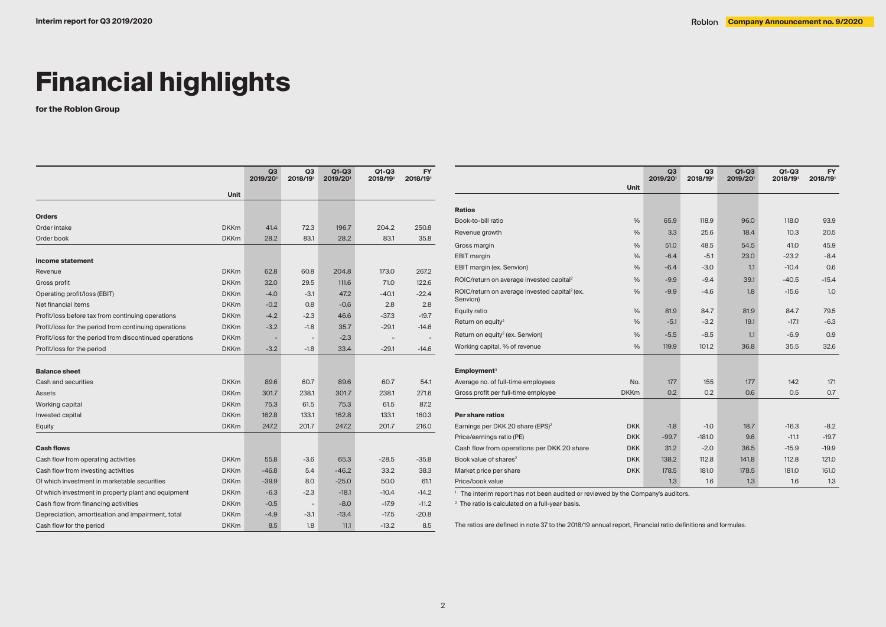# **Financial highlights**

**for the Roblon Group**

|                                                         |             | Q3<br>2019/201 | Q3<br>2018/191           | $Q1-Q3$<br>2019/201 | $Q1-Q3$<br>2018/191 | <b>FY</b><br>2018/191 |
|---------------------------------------------------------|-------------|----------------|--------------------------|---------------------|---------------------|-----------------------|
|                                                         | <b>Unit</b> |                |                          |                     |                     |                       |
|                                                         |             |                |                          |                     |                     |                       |
| <b>Orders</b>                                           |             |                |                          |                     |                     |                       |
| Order intake                                            | <b>DKKm</b> | 41.4           | 72.3                     | 196.7               | 204.2               | 250.8                 |
| Order book                                              | <b>DKKm</b> | 28.2           | 83.1                     | 28.2                | 83.1                | 35.8                  |
|                                                         |             |                |                          |                     |                     |                       |
| <b>Income statement</b>                                 |             |                |                          |                     |                     |                       |
| Revenue                                                 | <b>DKKm</b> | 62.8           | 60.8                     | 204.8               | 173.0               | 267.2                 |
| Gross profit                                            | <b>DKKm</b> | 32.0           | 29.5                     | 111.6               | 71.0                | 122.6                 |
| Operating profit/loss (EBIT)                            | <b>DKKm</b> | $-4.0$         | $-3.1$                   | 47.2                | $-40.1$             | $-22.4$               |
| Net financial items                                     | <b>DKKm</b> | $-0.2$         | 0.8                      | $-0.6$              | 2.8                 | 2.8                   |
| Profit/loss before tax from continuing operations       | <b>DKKm</b> | $-4.2$         | $-2.3$                   | 46.6                | $-37.3$             | $-19.7$               |
| Profit/loss for the period from continuing operations   | <b>DKKm</b> | $-3.2$         | $-1.8$                   | 35.7                | $-29.1$             | $-14.6$               |
| Profit/loss for the period from discontinued operations | <b>DKKm</b> |                |                          | $-2.3$              |                     |                       |
| Profit/loss for the period                              | <b>DKKm</b> | $-3.2$         | $-1.8$                   | 33.4                | $-29.1$             | $-14.6$               |
| <b>Balance sheet</b>                                    |             |                |                          |                     |                     |                       |
| Cash and securities                                     | <b>DKKm</b> | 89.6           | 60.7                     | 89.6                | 60.7                | 54.1                  |
| <b>Assets</b>                                           | <b>DKKm</b> | 301.7          | 238.1                    | 301.7               | 238.1               | 271.6                 |
| Working capital                                         | <b>DKKm</b> | 75.3           | 61.5                     | 75.3                | 61.5                | 87.2                  |
| Invested capital                                        | <b>DKKm</b> | 162.8          | 133.1                    | 162.8               | 133.1               | 160.3                 |
| Equity                                                  | <b>DKKm</b> | 247.2          | 201.7                    | 247.2               | 201.7               | 216.0                 |
| <b>Cash flows</b>                                       |             |                |                          |                     |                     |                       |
| Cash flow from operating activities                     | <b>DKKm</b> | 55.8           | $-3.6$                   | 65.3                | $-28.5$             | $-35.8$               |
| Cash flow from investing activities                     | <b>DKKm</b> | $-46.8$        | 5.4                      | $-46.2$             | 33.2                | 38.3                  |
| Of which investment in marketable securities            | <b>DKKm</b> | $-39.9$        | 8.0                      | $-25.0$             | 50.0                | 61.1                  |
| Of which investment in property plant and equipment     | <b>DKKm</b> | $-6.3$         | $-2.3$                   | $-18.1$             | $-10.4$             | $-14.2$               |
| Cash flow from financing activities                     | <b>DKKm</b> | $-0.5$         | $\overline{\phantom{a}}$ | $-8.0$              | $-17.9$             | $-11.2$               |
| Depreciation, amortisation and impairment, total        | <b>DKKm</b> | $-4.9$         | $-3.1$                   | $-13.4$             | $-17.5$             | $-20.8$               |
| Cash flow for the period                                | <b>DKKm</b> | 8.5            | 1.8                      | 11.1                | $-13.2$             | 8.5                   |

|                                                                       |               | Q <sub>3</sub><br>2019/201 | Q3<br>2018/191 | $Q1-Q3$<br>2019/201 | $Q1-Q3$<br>2018/191 | <b>FY</b><br>2018/191 |
|-----------------------------------------------------------------------|---------------|----------------------------|----------------|---------------------|---------------------|-----------------------|
|                                                                       | <b>Unit</b>   |                            |                |                     |                     |                       |
|                                                                       |               |                            |                |                     |                     |                       |
| <b>Ratios</b>                                                         |               |                            |                |                     |                     |                       |
| Book-to-bill ratio                                                    | $\frac{0}{0}$ | 65.9                       | 118.9          | 96.0                | 118.0               | 93.9                  |
| Revenue growth                                                        | $\frac{0}{0}$ | 3.3                        | 25.6           | 18.4                | 10.3                | 20.5                  |
| Gross margin                                                          | $\frac{0}{0}$ | 51.0                       | 48.5           | 54.5                | 41.0                | 45.9                  |
| <b>EBIT</b> margin                                                    | $\frac{0}{0}$ | $-6.4$                     | $-5.1$         | 23.0                | $-23.2$             | $-8.4$                |
| EBIT margin (ex. Senvion)                                             | $\frac{0}{0}$ | $-6.4$                     | $-3.0$         | 1.1                 | $-10.4$             | 0.6                   |
| ROIC/return on average invested capital <sup>2</sup>                  | $\frac{0}{0}$ | $-9.9$                     | $-9.4$         | 39.1                | $-40.5$             | $-15.4$               |
| ROIC/return on average invested capital <sup>2</sup> (ex.<br>Senvion) | $\frac{0}{0}$ | $-9.9$                     | $-4.6$         | 1.8                 | $-15.6$             | 1.0                   |
| Equity ratio                                                          | $\frac{0}{0}$ | 81.9                       | 84.7           | 81.9                | 84.7                | 79.5                  |
| Return on equity <sup>2</sup>                                         | $\frac{0}{0}$ | $-5.1$                     | $-3.2$         | 19.1                | $-17.1$             | $-6.3$                |
| Return on equity <sup>2</sup> (ex. Senvion)                           | $\frac{0}{0}$ | $-5.5$                     | $-8.5$         | 1.1                 | $-6.9$              | 0.9                   |
| Working capital, % of revenue                                         | $\frac{0}{0}$ | 119.9                      | 101.2          | 36.8                | 35.5                | 32.6                  |
| Employment <sup>3</sup>                                               |               |                            |                |                     |                     |                       |
| Average no. of full-time employees                                    | No.           | 177                        | 155            | 177                 | 142                 | 171                   |
| Gross profit per full-time employee                                   | <b>DKKm</b>   | 0.2                        | 0.2            | 0.6                 | 0.5                 | 0.7                   |
|                                                                       |               |                            |                |                     |                     |                       |
| Per share ratios                                                      |               |                            |                |                     |                     |                       |
| Earnings per DKK 20 share (EPS) <sup>2</sup>                          | <b>DKK</b>    | $-1.8$                     | $-1.0$         | 18.7                | $-16.3$             | $-8.2$                |
| Price/earnings ratio (PE)                                             | <b>DKK</b>    | $-99.7$                    | $-181.0$       | 9.6                 | $-11.1$             | $-19.7$               |
| Cash flow from operations per DKK 20 share                            | <b>DKK</b>    | 31.2                       | $-2.0$         | 36.5                | $-15.9$             | $-19.9$               |
| Book value of shares <sup>2</sup>                                     | <b>DKK</b>    | 138.2                      | 112.8          | 141.8               | 112.8               | 121.0                 |
| Market price per share                                                | <b>DKK</b>    | 178.5                      | 181.0          | 178.5               | 181.0               | 161.0                 |
| Price/book value                                                      |               | 1.3                        | 1.6            | 1.3                 | 1.6                 | 1.3                   |

<sup>1</sup> The interim report has not been audited or reviewed by the Company's auditors.

<sup>2</sup> The ratio is calculated on a full-year basis.

The ratios are defined in note 37 to the 2018/19 annual report, Financial ratio definitions and formulas.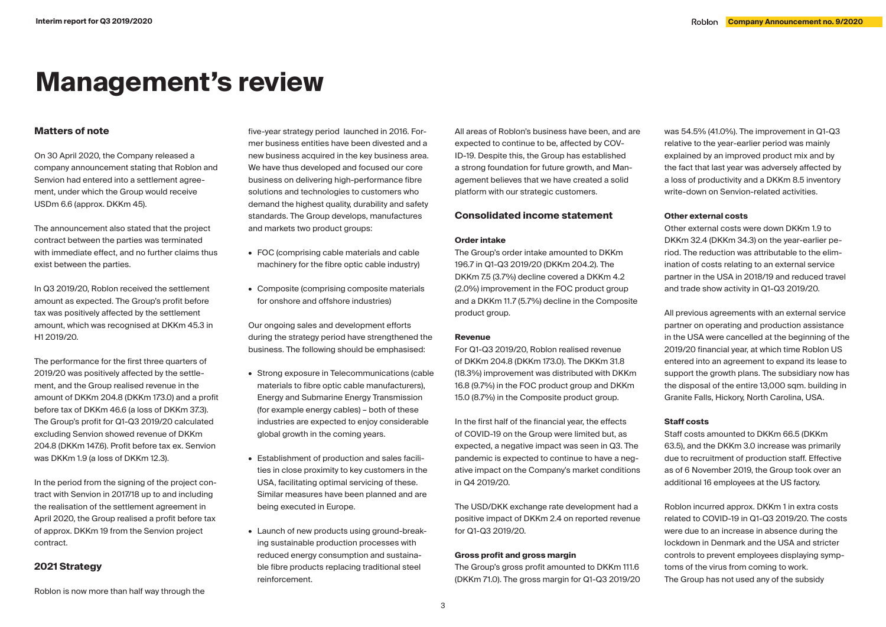# **Management's review**

# **Matters of note**

On 30 April 2020, the Company released a company announcement stating that Roblon and Senvion had entered into a settlement agreement, under which the Group would receive USDm 6.6 (approx. DKKm 45).

The announcement also stated that the project contract between the parties was terminated with immediate effect, and no further claims thus exist between the parties.

In Q3 2019/20, Roblon received the settlement amount as expected. The Group's profit before tax was positively affected by the settlement amount, which was recognised at DKKm 45.3 in H1 2019/20.

The performance for the first three quarters of 2019/20 was positively affected by the settlement, and the Group realised revenue in the amount of DKKm 204.8 (DKKm 173.0) and a profit before tax of DKKm 46.6 (a loss of DKKm 37.3). The Group's profit for Q1-Q3 2019/20 calculated excluding Senvion showed revenue of DKKm 204.8 (DKKm 147.6). Profit before tax ex. Senvion was DKKm 1.9 (a loss of DKKm 12.3).

In the period from the signing of the project contract with Senvion in 2017/18 up to and including the realisation of the settlement agreement in April 2020, the Group realised a profit before tax of approx. DKKm 19 from the Senvion project contract.

# **2021 Strategy**

Roblon is now more than half way through the

five-year strategy period launched in 2016. Former business entities have been divested and a new business acquired in the key business area. We have thus developed and focused our core business on delivering high-performance fibre solutions and technologies to customers who demand the highest quality, durability and safety standards. The Group develops, manufactures and markets two product groups:

- **•** FOC (comprising cable materials and cable machinery for the fibre optic cable industry)
- **•** Composite (comprising composite materials for onshore and offshore industries)

Our ongoing sales and development efforts during the strategy period have strengthened the business. The following should be emphasised:

- **•** Strong exposure in Telecommunications (cable materials to fibre optic cable manufacturers), Energy and Submarine Energy Transmission (for example energy cables) – both of these industries are expected to enjoy considerable global growth in the coming years.
- **•** Establishment of production and sales facilities in close proximity to key customers in the USA, facilitating optimal servicing of these. Similar measures have been planned and are being executed in Europe.
- **•** Launch of new products using ground-breaking sustainable production processes with reduced energy consumption and sustainable fibre products replacing traditional steel reinforcement.

All areas of Roblon's business have been, and are expected to continue to be, affected by COV-ID-19. Despite this, the Group has established a strong foundation for future growth, and Management believes that we have created a solid platform with our strategic customers.

# **Consolidated income statement**

## **Order intake**

The Group's order intake amounted to DKKm 196.7 in Q1-Q3 2019/20 (DKKm 204.2). The DKKm 7.5 (3.7%) decline covered a DKKm 4.2 (2.0%) improvement in the FOC product group and a DKKm 11.7 (5.7%) decline in the Composite product group.

#### **Revenue**

For Q1-Q3 2019/20, Roblon realised revenue of DKKm 204.8 (DKKm 173.0). The DKKm 31.8 (18.3%) improvement was distributed with DKKm 16.8 (9.7%) in the FOC product group and DKKm 15.0 (8.7%) in the Composite product group.

In the first half of the financial year, the effects of COVID-19 on the Group were limited but, as expected, a negative impact was seen in Q3. The pandemic is expected to continue to have a negative impact on the Company's market conditions in Q4 2019/20.

The USD/DKK exchange rate development had a positive impact of DKKm 2.4 on reported revenue for Q1-Q3 2019/20.

#### **Gross profit and gross margin**

The Group's gross profit amounted to DKKm 111.6 (DKKm 71.0). The gross margin for Q1-Q3 2019/20

was 54.5% (41.0%). The improvement in Q1-Q3 relative to the year-earlier period was mainly explained by an improved product mix and by the fact that last year was adversely affected by a loss of productivity and a DKKm 8.5 inventory write-down on Senvion-related activities.

# **Other external costs**

Other external costs were down DKKm 1.9 to DKKm 32.4 (DKKm 34.3) on the year-earlier period. The reduction was attributable to the elimination of costs relating to an external service partner in the USA in 2018/19 and reduced travel and trade show activity in Q1-Q3 2019/20.

All previous agreements with an external service partner on operating and production assistance in the USA were cancelled at the beginning of the 2019/20 financial year, at which time Roblon US entered into an agreement to expand its lease to support the growth plans. The subsidiary now has the disposal of the entire 13,000 sqm. building in Granite Falls, Hickory, North Carolina, USA.

# **Staff costs**

Staff costs amounted to DKKm 66.5 (DKKm 63.5), and the DKKm 3.0 increase was primarily due to recruitment of production staff. Effective as of 6 November 2019, the Group took over an additional 16 employees at the US factory.

Roblon incurred approx. DKKm 1 in extra costs related to COVID-19 in Q1-Q3 2019/20. The costs were due to an increase in absence during the lockdown in Denmark and the USA and stricter controls to prevent employees displaying symptoms of the virus from coming to work. The Group has not used any of the subsidy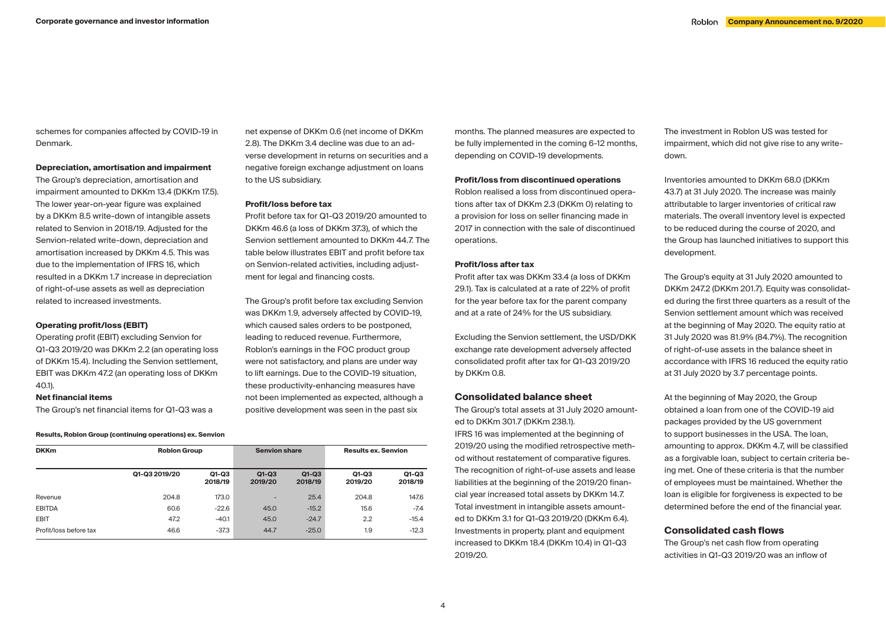schemes for companies affected by COVID-19 in Denmark.

### **Depreciation, amortisation and impairment**

The Group's depreciation, amortisation and impairment amounted to DKKm 13.4 (DKKm 17.5). The lower year-on-year figure was explained by a DKKm 8.5 write-down of intangible assets related to Senvion in 2018/19. Adjusted for the Senvion-related write-down, depreciation and amortisation increased by DKKm 4.5. This was due to the implementation of IFRS 16, which resulted in a DKKm 1.7 increase in depreciation of right-of-use assets as well as depreciation related to increased investments.

## **Operating profit/loss (EBIT)**

Operating profit (EBIT) excluding Senvion for Q1-Q3 2019/20 was DKKm 2.2 (an operating loss of DKKm 15.4). Including the Senvion settlement, EBIT was DKKm 47.2 (an operating loss of DKKm 40.1).

#### **Net financial items**

The Group's net financial items for Q1-Q3 was a

**Results, Roblon Group (continuing operations) ex. Senvion**

| <b>DKKm</b>            | <b>Roblon Group</b> |                  | <b>Senvion share</b>     |                    | <b>Results ex. Senvion</b> |                    |
|------------------------|---------------------|------------------|--------------------------|--------------------|----------------------------|--------------------|
|                        | Q1-Q3 2019/20       | Q1-Q3<br>2018/19 | $Q1-Q3$<br>2019/20       | $Q1-Q3$<br>2018/19 | Q1-Q3<br>2019/20           | $Q1-Q3$<br>2018/19 |
| Revenue                | 204.8               | 173.0            | $\overline{\phantom{a}}$ | 25.4               | 204.8                      | 147.6              |
| <b>EBITDA</b>          | 60.6                | $-22.6$          | 45.0                     | $-15.2$            | 15.6                       | $-7.4$             |
| <b>EBIT</b>            | 47.2                | $-40.1$          | 45.0                     | $-24.7$            | 2.2                        | $-15.4$            |
| Profit/loss before tax | 46.6                | $-37.3$          | 44.7                     | $-25.0$            | 1.9                        | $-12.3$            |

net expense of DKKm 0.6 (net income of DKKm 2.8). The DKKm 3.4 decline was due to an adverse development in returns on securities and a negative foreign exchange adjustment on loans to the US subsidiary.

#### **Profit/loss before tax**

Profit before tax for Q1-Q3 2019/20 amounted to DKKm 46.6 (a loss of DKKm 37.3), of which the Senvion settlement amounted to DKKm 44.7. The table below illustrates EBIT and profit before tax on Senvion-related activities, including adjustment for legal and financing costs.

The Group's profit before tax excluding Senvion was DKKm 1.9, adversely affected by COVID-19, which caused sales orders to be postponed, leading to reduced revenue. Furthermore, Roblon's earnings in the FOC product group were not satisfactory, and plans are under way to lift earnings. Due to the COVID-19 situation, these productivity-enhancing measures have not been implemented as expected, although a positive development was seen in the past six

months. The planned measures are expected to be fully implemented in the coming 6-12 months, depending on COVID-19 developments.

### **Profit/loss from discontinued operations**

Roblon realised a loss from discontinued operations after tax of DKKm 2.3 (DKKm 0) relating to a provision for loss on seller financing made in 2017 in connection with the sale of discontinued operations.

# **Profit/loss after tax**

Profit after tax was DKKm 33.4 (a loss of DKKm 29.1). Tax is calculated at a rate of 22% of profit for the year before tax for the parent company and at a rate of 24% for the US subsidiary.

Excluding the Senvion settlement, the USD/DKK exchange rate development adversely affected consolidated profit after tax for Q1-Q3 2019/20 by DKKm 0.8.

# **Consolidated balance sheet**

The Group's total assets at 31 July 2020 amounted to DKKm 301.7 (DKKm 238.1).

IFRS 16 was implemented at the beginning of 2019/20 using the modified retrospective method without restatement of comparative figures. The recognition of right-of-use assets and lease liabilities at the beginning of the 2019/20 financial year increased total assets by DKKm 14.7. Total investment in intangible assets amounted to DKKm 3.1 for Q1-Q3 2019/20 (DKKm 6.4). Investments in property, plant and equipment increased to DKKm 18.4 (DKKm 10.4) in Q1-Q3 2019/20.

The investment in Roblon US was tested for impairment, which did not give rise to any writedown.

Inventories amounted to DKKm 68.0 (DKKm 43.7) at 31 July 2020. The increase was mainly attributable to larger inventories of critical raw materials. The overall inventory level is expected to be reduced during the course of 2020, and the Group has launched initiatives to support this development.

The Group's equity at 31 July 2020 amounted to DKKm 247.2 (DKKm 201.7). Equity was consolidated during the first three quarters as a result of the Senvion settlement amount which was received at the beginning of May 2020. The equity ratio at 31 July 2020 was 81.9% (84.7%). The recognition of right-of-use assets in the balance sheet in accordance with IFRS 16 reduced the equity ratio at 31 July 2020 by 3.7 percentage points.

At the beginning of May 2020, the Group obtained a loan from one of the COVID-19 aid packages provided by the US government to support businesses in the USA. The loan, amounting to approx. DKKm 4.7, will be classified as a forgivable loan, subject to certain criteria being met. One of these criteria is that the number of employees must be maintained. Whether the loan is eligible for forgiveness is expected to be determined before the end of the financial year.

# **Consolidated cash flows**

The Group's net cash flow from operating activities in Q1-Q3 2019/20 was an inflow of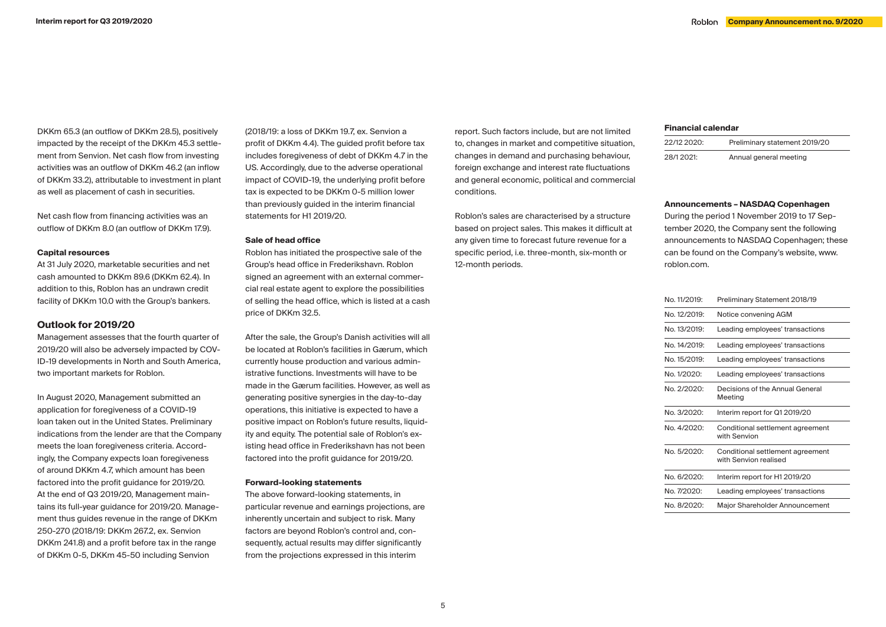DKKm 65.3 (an outflow of DKKm 28.5), positively impacted by the receipt of the DKKm 45.3 settlement from Senvion. Net cash flow from investing activities was an outflow of DKKm 46.2 (an inflow of DKKm 33.2), attributable to investment in plant as well as placement of cash in securities.

Net cash flow from financing activities was an outflow of DKKm 8.0 (an outflow of DKKm 17.9).

#### **Capital resources**

At 31 July 2020, marketable securities and net cash amounted to DKKm 89.6 (DKKm 62.4). In addition to this, Roblon has an undrawn credit facility of DKKm 10.0 with the Group's bankers.

# **Outlook for 2019/20**

Management assesses that the fourth quarter of 2019/20 will also be adversely impacted by COV-ID-19 developments in North and South America, two important markets for Roblon.

In August 2020, Management submitted an application for foregiveness of a COVID-19 loan taken out in the United States. Preliminary indications from the lender are that the Company meets the loan foregiveness criteria. Accordingly, the Company expects loan foregiveness of around DKKm 4.7, which amount has been factored into the profit guidance for 2019/20. At the end of Q3 2019/20, Management maintains its full-year guidance for 2019/20. Management thus guides revenue in the range of DKKm 250-270 (2018/19: DKKm 267.2, ex. Senvion DKKm 241.8) and a profit before tax in the range of DKKm 0-5, DKKm 45-50 including Senvion

(2018/19: a loss of DKKm 19.7, ex. Senvion a profit of DKKm 4.4). The guided profit before tax includes foregiveness of debt of DKKm 4.7 in the US. Accordingly, due to the adverse operational impact of COVID-19, the underlying profit before tax is expected to be DKKm 0-5 million lower than previously guided in the interim financial statements for H1 2019/20.

#### **Sale of head office**

Roblon has initiated the prospective sale of the Group's head office in Frederikshavn. Roblon signed an agreement with an external commercial real estate agent to explore the possibilities of selling the head office, which is listed at a cash price of DKKm 32.5.

After the sale, the Group's Danish activities will all be located at Roblon's facilities in Gærum, which currently house production and various administrative functions. Investments will have to be made in the Gærum facilities. However, as well as generating positive synergies in the day-to-day operations, this initiative is expected to have a positive impact on Roblon's future results, liquidity and equity. The potential sale of Roblon's existing head office in Frederikshavn has not been factored into the profit guidance for 2019/20.

#### **Forward-looking statements**

The above forward-looking statements, in particular revenue and earnings projections, are inherently uncertain and subject to risk. Many factors are beyond Roblon's control and, consequently, actual results may differ significantly from the projections expressed in this interim

report. Such factors include, but are not limited to, changes in market and competitive situation, changes in demand and purchasing behaviour, foreign exchange and interest rate fluctuations and general economic, political and commercial conditions.

Roblon's sales are characterised by a structure based on project sales. This makes it difficult at any given time to forecast future revenue for a specific period, i.e. three-month, six-month or 12-month periods.

#### **Financial calendar**

| 22/12 2020: | Preliminary statement 2019/20 |
|-------------|-------------------------------|
| 28/1 2021:  | Annual general meeting        |

#### **Announcements – NASDAQ Copenhagen**

During the period 1 November 2019 to 17 September 2020, the Company sent the following announcements to NASDAQ Copenhagen; these can be found on the Company's website, www. roblon.com.

| No. 11/2019: | Preliminary Statement 2018/19                             |
|--------------|-----------------------------------------------------------|
| No. 12/2019: | Notice convening AGM                                      |
| No. 13/2019: | Leading employees' transactions                           |
| No. 14/2019: | Leading employees' transactions                           |
| No. 15/2019: | Leading employees' transactions                           |
| No. 1/2020:  | Leading employees' transactions                           |
| No. 2/2020:  | Decisions of the Annual General<br>Meeting                |
| No. 3/2020:  | Interim report for Q1 2019/20                             |
| No. 4/2020:  | Conditional settlement agreement<br>with Senvion          |
| No. 5/2020:  | Conditional settlement agreement<br>with Senvion realised |
| No. 6/2020:  | Interim report for H1 2019/20                             |
| No. 7/2020:  | Leading employees' transactions                           |
| No. 8/2020:  | Major Shareholder Announcement                            |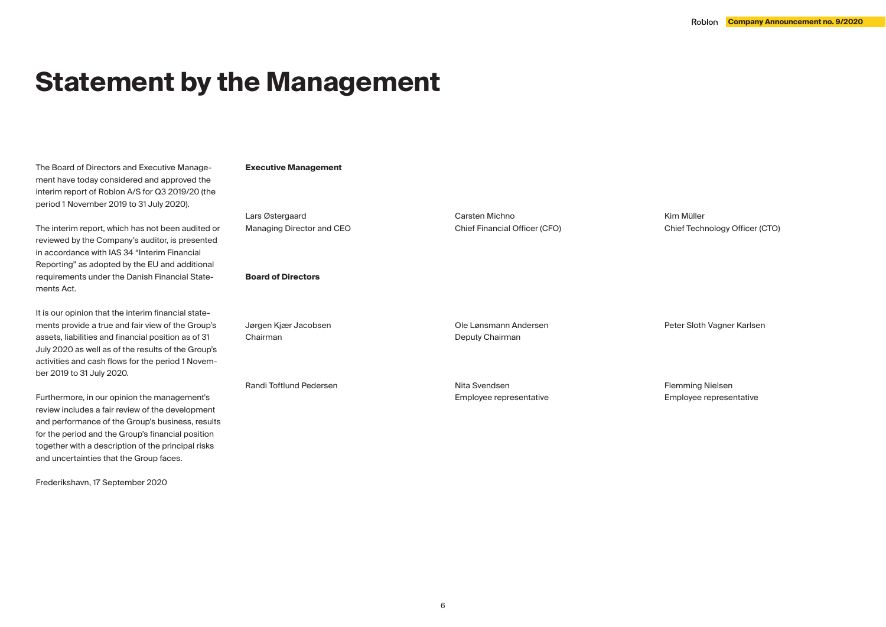# **Statement by the Management**

The Board of Directors and Executive Management have today considered and approved the interim report of Roblon A/S for Q3 2019/20 (the period 1 November 2019 to 31 July 2020).

The interim report, which has not been audited or reviewed by the Company's auditor, is presented in accordance with IAS 34 "Interim Financial Reporting" as adopted by the EU and additional requirements under the Danish Financial Statements Act.

It is our opinion that the interim financial statements provide a true and fair view of the Group's assets, liabilities and financial position as of 31 July 2020 as well as of the results of the Group's activities and cash flows for the period 1 November 2019 to 31 July 2020.

Furthermore, in our opinion the management's review includes a fair review of the development and performance of the Group's business, results for the period and the Group's financial position together with a description of the principal risks and uncertainties that the Group faces.

Frederikshavn, 17 September 2020

## **Executive Management**

Lars Østergaard Managing Director and CEO

## **Board of Directors**

Jørgen Kjær Jacobsen Chairman Ole Lønsmann Andersen Deputy Chairman

Randi Toftlund Pedersen

Nita Svendsen Employee representative

Carsten Michno

Chief Financial Officer (CFO)

Kim Müller Chief Technology Officer (CTO)

Flemming Nielsen Employee representative

Peter Sloth Vagner Karlsen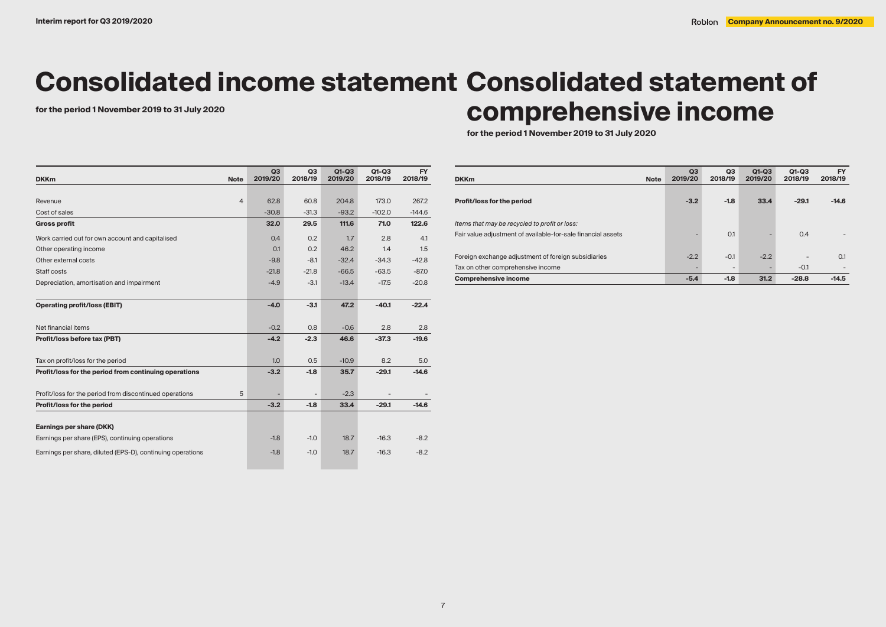# **Consolidated income statement Consolidated statement of**

# for the period 1 November 2019 to 31 July 2020<br> **COMPTE RESIVE INCOME**

**for the period 1 November 2019 to 31 July 2020**

| <b>DKKm</b><br><b>Note</b>                                   | Q <sub>3</sub><br>2019/20 | Q3<br>2018/19            | $Q1-Q3$<br>2019/20 | $Q1-Q3$<br>2018/19 | FY<br>2018/19 |
|--------------------------------------------------------------|---------------------------|--------------------------|--------------------|--------------------|---------------|
|                                                              |                           |                          |                    |                    |               |
| $\overline{4}$<br>Revenue                                    | 62.8                      | 60.8                     | 204.8              | 173.0              | 267.2         |
| Cost of sales                                                | $-30.8$                   | $-31.3$                  | $-93.2$            | $-102.0$           | $-144.6$      |
| <b>Gross profit</b>                                          | 32.0                      | 29.5                     | 111.6              | 71.0               | 122.6         |
| Work carried out for own account and capitalised             | 0.4                       | 0.2                      | 1.7                | 2.8                | 4.1           |
| Other operating income                                       | 0.1                       | 0.2                      | 46.2               | 1.4                | 1.5           |
| Other external costs                                         | $-9.8$                    | $-8.1$                   | $-32.4$            | $-34.3$            | $-42.8$       |
| Staff costs                                                  | $-21.8$                   | $-21.8$                  | $-66.5$            | $-63.5$            | $-87.0$       |
| Depreciation, amortisation and impairment                    | $-4.9$                    | $-3.1$                   | $-13.4$            | $-17.5$            | $-20.8$       |
| <b>Operating profit/loss (EBIT)</b>                          | $-4.0$                    | $-3.1$                   | 47.2               | $-40.1$            | $-22.4$       |
| Net financial items                                          | $-0.2$                    | 0.8                      | $-0.6$             | 2.8                | 2.8           |
| Profit/loss before tax (PBT)                                 | $-4.2$                    | $-2.3$                   | 46.6               | $-37.3$            | $-19.6$       |
| Tax on profit/loss for the period                            | 1.0                       | 0.5                      | $-10.9$            | 8.2                | 5.0           |
| Profit/loss for the period from continuing operations        | $-3.2$                    | $-1.8$                   | 35.7               | $-29.1$            | $-14.6$       |
| Profit/loss for the period from discontinued operations<br>5 |                           | $\overline{\phantom{a}}$ | $-2.3$             |                    |               |
| Profit/loss for the period                                   | $-3.2$                    | $-1.8$                   | 33.4               | $-29.1$            | $-14.6$       |
|                                                              |                           |                          |                    |                    |               |
| Earnings per share (DKK)                                     |                           |                          |                    |                    |               |
| Earnings per share (EPS), continuing operations              | $-1.8$                    | $-1.0$                   | 18.7               | $-16.3$            | $-8.2$        |
| Earnings per share, diluted (EPS-D), continuing operations   | $-1.8$                    | $-1.0$                   | 18.7               | $-16.3$            | $-8.2$        |

| <b>DKKm</b><br><b>Note</b>                                   | Q <sub>3</sub><br>2019/20 | Q3<br>2018/19            | $Q1-Q3$<br>2019/20 | $Q1-Q3$<br>2018/19 | <b>FY</b><br>2018/19 |
|--------------------------------------------------------------|---------------------------|--------------------------|--------------------|--------------------|----------------------|
| Profit/loss for the period                                   | $-3.2$                    | $-1.8$                   | 33.4               | $-29.1$            | $-14.6$              |
| Items that may be recycled to profit or loss:                |                           |                          |                    |                    |                      |
| Fair value adjustment of available-for-sale financial assets |                           | 0.1                      |                    | 0.4                |                      |
| Foreign exchange adjustment of foreign subsidiaries          | $-2.2$                    | $-0.1$                   | $-2.2$             |                    | 0.1                  |
| Tax on other comprehensive income                            |                           | $\overline{\phantom{0}}$ |                    | $-0.1$             |                      |
| <b>Comprehensive income</b>                                  | $-5.4$                    | $-1.8$                   | 31.2               | $-28.8$            | $-14.5$              |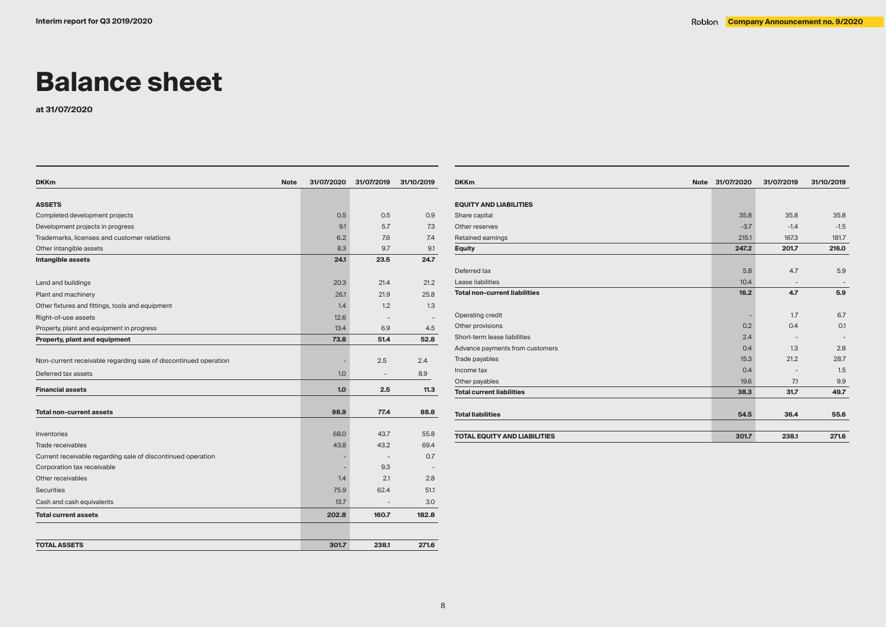# **Balance sheet**

**at 31/07/2020**

| <b>Note</b><br><b>DKKm</b>                                      | 31/07/2020 | 31/07/2019               | 31/10/2019 |
|-----------------------------------------------------------------|------------|--------------------------|------------|
|                                                                 |            |                          |            |
| <b>ASSETS</b>                                                   |            |                          |            |
| Completed development projects                                  | 0.5        | 0.5                      | 0.9        |
| Development projects in progress                                | 9.1        | 5.7                      | 7.3        |
| Trademarks, licenses and customer relations                     | 6.2        | 7.6                      | 7.4        |
| Other intangible assets                                         | 8.3        | 9.7                      | 9.1        |
| Intangible assets                                               | 24.1       | 23.5                     | 24.7       |
| Land and buildings                                              | 20.3       | 21.4                     | 21.2       |
| Plant and machinery                                             | 26.1       | 21.9                     | 25.8       |
| Other fixtures and fittings, tools and equipment                | 1.4        | 1.2                      | 1.3        |
| Right-of-use assets                                             | 12.6       | $\overline{\phantom{a}}$ |            |
| Property, plant and equipment in progress                       | 13.4       | 6.9                      | 4.5        |
| Property, plant and equipment                                   | 73.8       | 51.4                     | 52.8       |
|                                                                 |            |                          |            |
| Non-current receivable regarding sale of discontinued operation |            | 2.5                      | 2.4        |
| Deferred tax assets                                             | 1.0        |                          | 8.9        |
| <b>Financial assets</b>                                         | 1.0        | 2.5                      | 11.3       |
| <b>Total non-current assets</b>                                 | 98.9       | 77.4                     | 88.8       |
|                                                                 |            |                          |            |
| Inventories                                                     | 68.0       | 43.7                     | 55.8       |
| Trade receivables                                               | 43.8       | 43.2                     | 69.4       |
| Current receivable regarding sale of discontinued operation     |            | $\qquad \qquad -$        | 0.7        |
| Corporation tax receivable                                      |            | 9.3                      |            |
| Other receivables                                               | 1.4        | 2.1                      | 2.8        |
| <b>Securities</b>                                               | 75.9       | 62.4                     | 51.1       |
| Cash and cash equivalents                                       | 13.7       | $\overline{\phantom{a}}$ | 3.0        |
| <b>Total current assets</b>                                     | 202.8      | 160.7                    | 182.8      |
| <b>TOTAL ASSETS</b>                                             | 301.7      | 238.1                    | 271.6      |

| <b>DKKm</b><br><b>Note</b>           | 31/07/2020 | 31/07/2019               | 31/10/2019 |
|--------------------------------------|------------|--------------------------|------------|
|                                      |            |                          |            |
| <b>EQUITY AND LIABILITIES</b>        |            |                          |            |
| Share capital                        | 35.8       | 35.8                     | 35.8       |
| Other reserves                       | $-3.7$     | $-1.4$                   | $-1.5$     |
| Retained earnings                    | 215.1      | 167.3                    | 181.7      |
| <b>Equity</b>                        | 247.2      | 201.7                    | 216.0      |
|                                      |            |                          |            |
| Deferred tax                         | 5.8        | 4.7                      | 5.9        |
| Lease liabilities                    | 10.4       | $\overline{\phantom{a}}$ |            |
| <b>Total non-current liabilities</b> | 16.2       | 4.7                      | 5.9        |
|                                      |            |                          |            |
| Operating credit                     |            | 1.7                      | 6.7        |
| Other provisions                     | 0.2        | 0.4                      | 0.1        |
| Short-term lease liabilities         | 2.4        |                          |            |
| Advance payments from customers      | 0.4        | 1.3                      | 2.8        |
| Trade payables                       | 15.3       | 21.2                     | 28.7       |
| Income tax                           | 0.4        |                          | 1.5        |
| Other payables                       | 19.6       | 7.1                      | 9.9        |
| <b>Total current liabilities</b>     | 38.3       | 31.7                     | 49.7       |
|                                      |            |                          |            |
| <b>Total liabilities</b>             | 54.5       | 36.4                     | 55.6       |
|                                      |            |                          |            |
| <b>TOTAL EQUITY AND LIABILITIES</b>  | 301.7      | 238.1                    | 271.6      |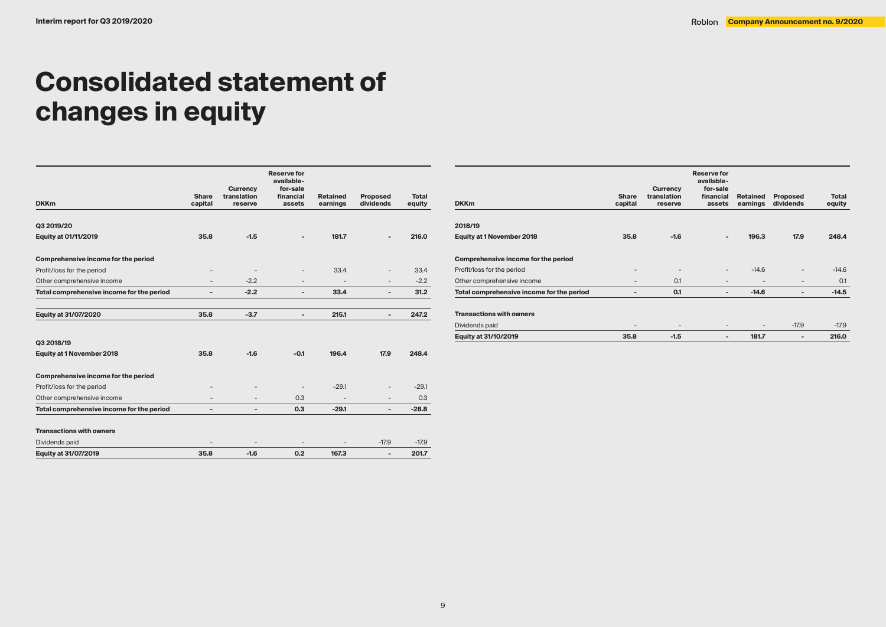# **Consolidated statement of changes in equity**

|                                           |                              | <b>Currency</b>          | <b>Reserve for</b><br>available-<br>for-sale |                             |                              |                        |
|-------------------------------------------|------------------------------|--------------------------|----------------------------------------------|-----------------------------|------------------------------|------------------------|
| <b>DKKm</b>                               | <b>Share</b><br>capital      | translation<br>reserve   | financial<br>assets                          | <b>Retained</b><br>earnings | <b>Proposed</b><br>dividends | <b>Total</b><br>eauitv |
| Q3 2019/20                                |                              |                          |                                              |                             |                              |                        |
|                                           | 35.8                         | $-1.5$                   |                                              | 181.7                       |                              | 216.0                  |
| Equity at 01/11/2019                      |                              |                          |                                              |                             |                              |                        |
| Comprehensive income for the period       |                              |                          |                                              |                             |                              |                        |
| Profit/loss for the period                | -                            |                          |                                              | 33.4                        | $\qquad \qquad -$            | 33.4                   |
| Other comprehensive income                | $\qquad \qquad -$            | $-2.2$                   | $\overline{\phantom{0}}$                     | $\overline{\phantom{a}}$    | $\qquad \qquad -$            | $-2.2$                 |
| Total comprehensive income for the period | $\qquad \qquad \blacksquare$ | $-2.2$                   | $\overline{\phantom{a}}$                     | 33.4                        | $\overline{a}$               | 31.2                   |
| Equity at 31/07/2020                      | 35.8                         | $-3.7$                   |                                              | 215.1                       | $\overline{a}$               | 247.2                  |
|                                           |                              |                          |                                              |                             |                              |                        |
| Q3 2018/19                                |                              |                          |                                              |                             |                              |                        |
| <b>Equity at 1 November 2018</b>          | 35.8                         | $-1.6$                   | $-0.1$                                       | 196.4                       | 17.9                         | 248.4                  |
| Comprehensive income for the period       |                              |                          |                                              |                             |                              |                        |
| Profit/loss for the period                | $\overline{\phantom{0}}$     |                          |                                              | $-29.1$                     | $\qquad \qquad -$            | $-29.1$                |
| Other comprehensive income                | $\overline{\phantom{0}}$     | $\overline{\phantom{0}}$ | 0.3                                          | $\overline{\phantom{a}}$    | $\overline{\phantom{a}}$     | 0.3                    |
| Total comprehensive income for the period | $\overline{\phantom{a}}$     | $\overline{a}$           | 0.3                                          | $-29.1$                     | $\overline{\phantom{a}}$     | $-28.8$                |
|                                           |                              |                          |                                              |                             |                              |                        |
| <b>Transactions with owners</b>           |                              |                          |                                              |                             |                              |                        |
| Dividends paid                            |                              |                          |                                              |                             | $-17.9$                      | $-17.9$                |
| Equity at 31/07/2019                      | 35.8                         | $-1.6$                   | 0.2                                          | 167.3                       | $\overline{\phantom{a}}$     | 201.7                  |

| <b>DKKm</b>                               | <b>Share</b><br>capital | Currency<br>translation<br>reserve | <b>Reserve for</b><br>available-<br>for-sale<br>financial<br>assets | <b>Retained</b><br>earnings | <b>Proposed</b><br>dividends | <b>Total</b><br>equity |
|-------------------------------------------|-------------------------|------------------------------------|---------------------------------------------------------------------|-----------------------------|------------------------------|------------------------|
| 2018/19                                   |                         |                                    |                                                                     |                             |                              |                        |
| <b>Equity at 1 November 2018</b>          | 35.8                    | $-1.6$                             | $\overline{\phantom{a}}$                                            | 196.3                       | 17.9                         | 248.4                  |
| Comprehensive income for the period       |                         |                                    |                                                                     |                             |                              |                        |
| Profit/loss for the period                | -                       | $\overline{\phantom{a}}$           | $\overline{\phantom{a}}$                                            | $-14.6$                     |                              | $-14.6$                |
| Other comprehensive income                | -                       | 0.1                                | $\overline{\phantom{a}}$                                            | $\overline{\phantom{a}}$    | $\overline{\phantom{a}}$     | 0.1                    |
| Total comprehensive income for the period | -                       | 0.1                                | -                                                                   | $-14.6$                     | ٠                            | $-14.5$                |
| <b>Transactions with owners</b>           |                         |                                    |                                                                     |                             |                              |                        |
| Dividends paid                            | -                       | $\overline{\phantom{a}}$           | $\overline{\phantom{a}}$                                            | $\overline{\phantom{a}}$    | $-17.9$                      | $-17.9$                |
| Equity at 31/10/2019                      | 35.8                    | $-1.5$                             | $\overline{\phantom{0}}$                                            | 181.7                       |                              | 216.0                  |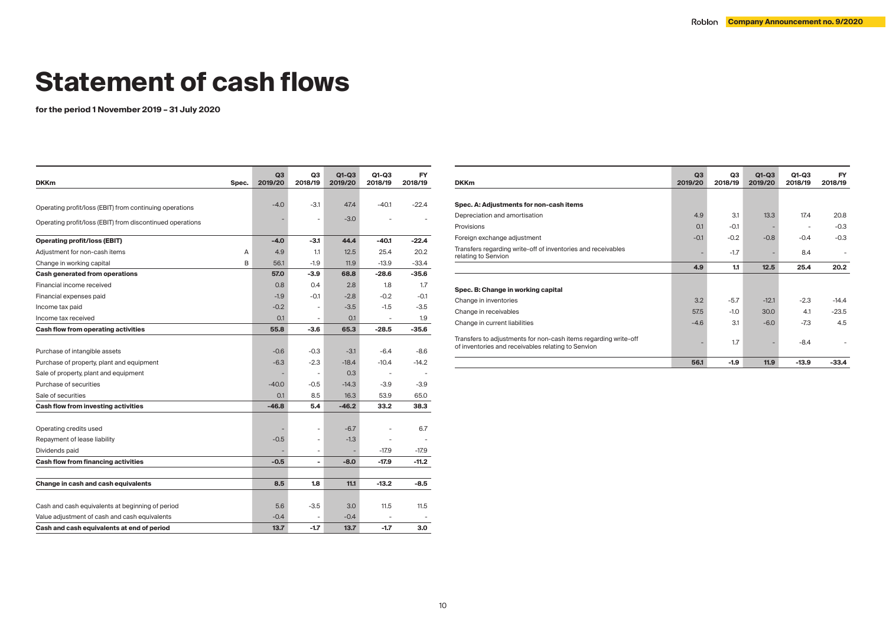# **Statement of cash flows**

**for the period 1 November 2019 – 31 July 2020**

| <b>DKKm</b><br>Spec.                                      | Q3<br>2019/20 | Q3<br>2018/19            | $Q1-Q3$<br>2019/20 | Q1-Q3<br>2018/19         | <b>FY</b><br>2018/19 |
|-----------------------------------------------------------|---------------|--------------------------|--------------------|--------------------------|----------------------|
|                                                           |               |                          |                    |                          |                      |
| Operating profit/loss (EBIT) from continuing operations   | $-4.0$        | -3.1                     | 47.4               | $-40.1$                  | $-22.4$              |
| Operating profit/loss (EBIT) from discontinued operations |               |                          | $-3.0$             |                          |                      |
|                                                           |               |                          |                    |                          |                      |
| <b>Operating profit/loss (EBIT)</b>                       | $-4.0$        | -3.1                     | 44.4               | $-40.1$                  | $-22.4$              |
| Adjustment for non-cash items                             | 4.9<br>A      | 1.1                      | 12.5               | 25.4                     | 20.2                 |
| Change in working capital                                 | B<br>56.1     | $-1.9$                   | 11.9               | $-13.9$                  | $-33.4$              |
| Cash generated from operations                            | 57.0          | $-3.9$                   | 68.8               | $-28.6$                  | $-35.6$              |
| Financial income received                                 | 0.8           | 0.4                      | 2.8                | 1.8                      | 1.7                  |
| Financial expenses paid                                   | $-1.9$        | -0.1                     | $-2.8$             | $-0.2$                   | $-0.1$               |
| Income tax paid                                           | $-0.2$        |                          | $-3.5$             | $-1.5$                   | $-3.5$               |
| Income tax received                                       | 0.1           |                          | 0.1                |                          | 1.9                  |
| Cash flow from operating activities                       | 55.8          | -3.6                     | 65.3               | $-28.5$                  | $-35.6$              |
|                                                           |               |                          |                    |                          |                      |
| Purchase of intangible assets                             | $-0.6$        | $-0.3$                   | $-3.1$             | $-6.4$                   | $-8.6$               |
| Purchase of property, plant and equipment                 | $-6.3$        | $-2.3$                   | $-18.4$            | $-10.4$                  | $-14.2$              |
| Sale of property, plant and equipment                     |               | $\overline{\phantom{a}}$ | 0.3                | $\overline{\phantom{a}}$ |                      |
| Purchase of securities                                    | $-40.0$       | $-0.5$                   | $-14.3$            | $-3.9$                   | $-3.9$               |
| Sale of securities                                        | 0.1           | 8.5                      | 16.3               | 53.9                     | 65.0                 |
| Cash flow from investing activities                       | $-46.8$       | 5.4                      | $-46.2$            | 33.2                     | 38.3                 |
|                                                           |               |                          |                    |                          |                      |
| Operating credits used                                    |               |                          | $-6.7$             |                          | 6.7                  |
| Repayment of lease liability                              | $-0.5$        |                          | $-1.3$             | ä,                       |                      |
| Dividends paid                                            |               |                          |                    | $-17.9$                  | $-17.9$              |
| Cash flow from financing activities                       | $-0.5$        | ÷                        | $-8.0$             | $-17.9$                  | $-11.2$              |
|                                                           |               |                          |                    |                          |                      |
| Change in cash and cash equivalents                       | 8.5           | 1.8                      | 11.1               | $-13.2$                  | -8.5                 |
|                                                           |               |                          |                    |                          |                      |
| Cash and cash equivalents at beginning of period          | 5.6           | -3.5                     | 3.0                | 11.5                     | 11.5                 |
| Value adjustment of cash and cash equivalents             | $-0.4$        |                          | $-0.4$             |                          |                      |
| Cash and cash equivalents at end of period                | 13.7          | $-1.7$                   | 13.7               | $-1.7$                   | 3.0                  |

| <b>DKKm</b>                                                                                                           | Q3<br>2019/20 | Q3<br>2018/19 | $Q1-Q3$<br>2019/20 | $Q1-Q3$<br>2018/19 | <b>FY</b><br>2018/19 |
|-----------------------------------------------------------------------------------------------------------------------|---------------|---------------|--------------------|--------------------|----------------------|
|                                                                                                                       |               |               |                    |                    |                      |
| Spec. A: Adjustments for non-cash items                                                                               |               |               |                    |                    |                      |
| Depreciation and amortisation                                                                                         | 4.9           | 3.1           | 13.3               | 17.4               | 20.8                 |
| Provisions                                                                                                            | O.1           | $-0.1$        |                    |                    | $-0.3$               |
| Foreign exchange adjustment                                                                                           | $-0.1$        | $-0.2$        | $-0.8$             | $-0.4$             | $-0.3$               |
| Transfers regarding write-off of inventories and receivables<br>relating to Senvion                                   |               | $-1.7$        |                    | 8.4                |                      |
|                                                                                                                       | 4.9           | 1.1           | 12.5               | 25.4               | 20.2                 |
|                                                                                                                       |               |               |                    |                    |                      |
| Spec. B: Change in working capital                                                                                    |               |               |                    |                    |                      |
| Change in inventories                                                                                                 | 3.2           | $-5.7$        | $-12.1$            | $-2.3$             | $-14.4$              |
| Change in receivables                                                                                                 | 57.5          | $-1.0$        | 30.0               | 4.1                | $-23.5$              |
| Change in current liabilities                                                                                         | $-4.6$        | 3.1           | $-6.0$             | $-7.3$             | 4.5                  |
| Transfers to adjustments for non-cash items regarding write-off<br>of inventories and receivables relating to Senvion |               | 1.7           |                    | $-8.4$             |                      |
|                                                                                                                       | 56.1          | $-1.9$        | 11.9               | $-13.9$            | $-33.4$              |